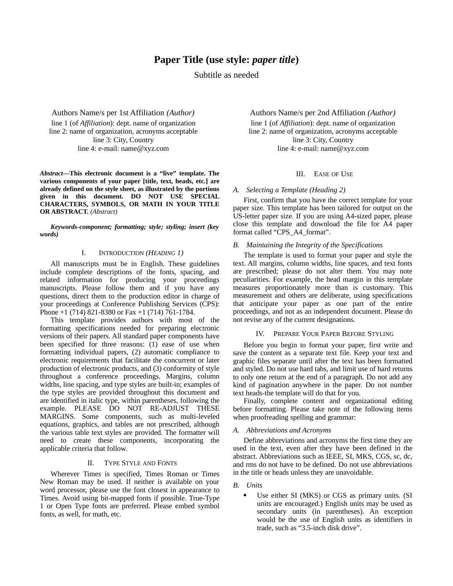Subtitle as needed

Authors Name/s per 1st Affiliation *(Author)* line 1 (of *Affiliation*): dept. name of organization line 2: name of organization, acronyms acceptable line 3: City, Country line 4: e-mail: name@xyz.com

*Abstract***—This electronic document is a "live" template. The various components of your paper [title, text, heads, etc.] are already defined on the style sheet, as illustrated by the portions given in this document. DO NOT USE SPECIAL CHARACTERS, SYMBOLS, OR MATH IN YOUR TITLE OR ABSTRACT.** *(Abstract)*

*Keywords-component; formatting; style; styling; insert (key words)*

# I. INTRODUCTION *(HEADING 1)*

All manuscripts must be in English. These guidelines include complete descriptions of the fonts, spacing, and related information for producing your proceedings manuscripts. Please follow them and if you have any questions, direct them to the production editor in charge of your proceedings at Conference Publishing Services (CPS): Phone +1 (714) 821-8380 or Fax +1 (714) 761-1784.

This template provides authors with most of the formatting specifications needed for preparing electronic versions of their papers. All standard paper components have been specified for three reasons:  $(1)$  ease of use when formatting individual papers, (2) automatic compliance to electronic requirements that facilitate the concurrent or later production of electronic products, and (3) conformity of style throughout a conference proceedings. Margins, column widths, line spacing, and type styles are built-in; examples of the type styles are provided throughout this document and are identified in italic type, within parentheses, following the example. PLEASE DO NOT RE-ADJUST THESE MARGINS. Some components, such as multi-leveled equations, graphics, and tables are not prescribed, although the various table text styles are provided. The formatter will need to create these components, incorporating the applicable criteria that follow.

## II. TYPE STYLE AND FONTS

Wherever Times is specified, Times Roman or Times New Roman may be used. If neither is available on your word processor, please use the font closest in appearance to Times. Avoid using bit-mapped fonts if possible. True-Type 1 or Open Type fonts are preferred. Please embed symbol fonts, as well, for math, etc.

Authors Name/s per 2nd Affiliation *(Author)* line 1 (of *Affiliation*): dept. name of organization line 2: name of organization, acronyms acceptable line 3: City, Country line 4: e-mail: name@xyz.com

### III. EASE OF USE

## *A. Selecting a Template (Heading 2)*

First, confirm that you have the correct template for your paper size. This template has been tailored for output on the US-letter paper size. If you are using A4-sized paper, please close this template and download the file for A4 paper format called "CPS\_A4\_format".

## *B. Maintaining the Integrity of the Specifications*

The template is used to format your paper and style the text. All margins, column widths, line spaces, and text fonts are prescribed; please do not alter them. You may note peculiarities. For example, the head margin in this template measures proportionately more than is customary. This measurement and others are deliberate, using specifications that anticipate your paper as one part of the entire proceedings, and not as an independent document. Please do not revise any of the current designations.

### IV. PREPARE YOUR PAPER BEFORE STYLING

Before you begin to format your paper, first write and save the content as a separate text file. Keep your text and graphic files separate until after the text has been formatted and styled. Do not use hard tabs, and limit use of hard returns to only one return at the end of a paragraph. Do not add any kind of pagination anywhere in the paper. Do not number text heads-the template will do that for you.

Finally, complete content and organizational editing before formatting. Please take note of the following items when proofreading spelling and grammar:

## *A. Abbreviations and Acronyms*

Define abbreviations and acronyms the first time they are used in the text, even after they have been defined in the abstract. Abbreviations such as IEEE, SI, MKS, CGS, sc, dc, and rms do not have to be defined. Do not use abbreviations in the title or heads unless they are unavoidable.

### *B. Units*

 Use either SI (MKS) or CGS as primary units. (SI units are encouraged.) English units may be used as secondary units (in parentheses). An exception would be the use of English units as identifiers in trade, such as "3.5-inch disk drive".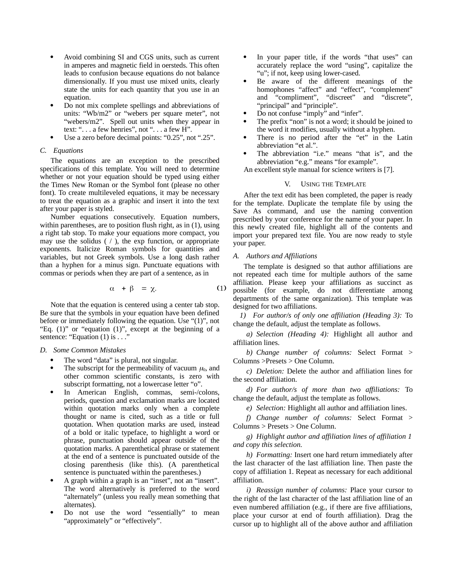- Avoid combining SI and CGS units, such as current in amperes and magnetic field in oersteds. This often leads to confusion because equations do not balance dimensionally. If you must use mixed units, clearly state the units for each quantity that you use in an equation.
- Do not mix complete spellings and abbreviations of units: "Wb/m2" or "webers per square meter", not "webers/m2". Spell out units when they appear in text: ". . . a few henries", not ". . . a few H".
- Use a zero before decimal points: "0.25", not ".25".

## *C. Equations*

The equations are an exception to the prescribed specifications of this template. You will need to determine whether or not your equation should be typed using either the Times New Roman or the Symbol font (please no other font). To create multileveled equations, it may be necessary to treat the equation as a graphic and insert it into the text after your paper is styled.

Number equations consecutively. Equation numbers, within parentheses, are to position flush right, as in (1), using a right tab stop. To make your equations more compact, you may use the solidus  $( / )$ , the exp function, or appropriate exponents. Italicize Roman symbols for quantities and variables, but not Greek symbols. Use a long dash rather than a hyphen for a minus sign. Punctuate equations with commas or periods when they are part of a sentence, as in

$$
\alpha + \beta = \chi. \tag{1}
$$

Note that the equation is centered using a center tab stop. Be sure that the symbols in your equation have been defined before or immediately following the equation. Use "(1)", not "Eq. (1)" or "equation (1)", except at the beginning of a sentence: "Equation (1) is . . ."

## *D. Some Common Mistakes*

- The word "data" is plural, not singular.
- The subscript for the permeability of vacuum  $\mu_0$ , and other common scientific constants, is zero with subscript formatting, not a lowercase letter "o".
- In American English, commas, semi-/colons, periods, question and exclamation marks are located within quotation marks only when a complete thought or name is cited, such as a title or full quotation. When quotation marks are used, instead of a bold or italic typeface, to highlight a word or phrase, punctuation should appear outside of the quotation marks. A parenthetical phrase or statement at the end of a sentence is punctuated outside of the closing parenthesis (like this). (A parenthetical sentence is punctuated within the parentheses.)
- A graph within a graph is an "inset", not an "insert". The word alternatively is preferred to the word "alternately" (unless you really mean something that alternates).
- Do not use the word "essentially" to mean "approximately" or "effectively".
- In your paper title, if the words "that uses" can accurately replace the word "using", capitalize the "u"; if not, keep using lower-cased.
- Be aware of the different meanings of the homophones "affect" and "effect", "complement" and "compliment", "discreet" and "discrete", "principal" and "principle".
- Do not confuse "imply" and "infer".
- The prefix "non" is not a word; it should be joined to the word it modifies, usually without a hyphen.
- There is no period after the "et" in the Latin abbreviation "et al.".
- The abbreviation "i.e." means "that is", and the abbreviation "e.g." means "for example".

An excellent style manual for science writers is [7].

### V. USING THE TEMPLATE

After the text edit has been completed, the paper is ready for the template. Duplicate the template file by using the Save As command, and use the naming convention prescribed by your conference for the name of your paper. In this newly created file, highlight all of the contents and import your prepared text file. You are now ready to style your paper.

## *A. Authors and Affiliations*

The template is designed so that author affiliations are not repeated each time for multiple authors of the same affiliation. Please keep your affiliations as succinct as possible (for example, do not differentiate among departments of the same organization). This template was designed for two affiliations.

*1) For author/s of only one affiliation (Heading 3):* To change the default, adjust the template as follows.

*a) Selection (Heading 4):* Highlight all author and affiliation lines.

*b) Change number of columns:* Select Format > Columns >Presets > One Column.

*c) Deletion:* Delete the author and affiliation lines for the second affiliation.

*d) For author/s of more than two affiliations:* To change the default, adjust the template as follows.

*e) Selection:* Highlight all author and affiliation lines.

*f) Change number of columns:* Select Format > Columns > Presets > One Column.

*g) Highlight author and affiliation lines of affiliation 1 and copy this selection.*

*h) Formatting:* Insert one hard return immediately after the last character of the last affiliation line. Then paste the copy of affiliation 1. Repeat as necessary for each additional affiliation.

*i) Reassign number of columns:* Place your cursor to the right of the last character of the last affiliation line of an even numbered affiliation (e.g., if there are five affiliations, place your cursor at end of fourth affiliation). Drag the cursor up to highlight all of the above author and affiliation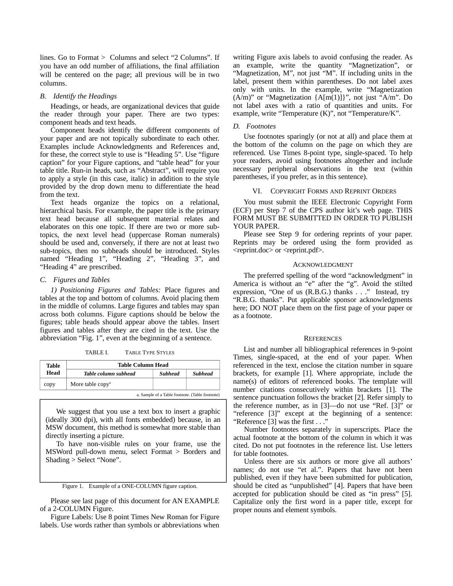lines. Go to Format > Columns and select "2 Columns". If you have an odd number of affiliations, the final affiliation will be centered on the page; all previous will be in two columns.

#### *B. Identify the Headings*

Headings, or heads, are organizational devices that guide the reader through your paper. There are two types: component heads and text heads.

Component heads identify the different components of your paper and are not topically subordinate to each other. Examples include Acknowledgments and References and, for these, the correct style to use is "Heading 5". Use "figure caption" for your Figure captions, and "table head" for your table title. Run-in heads, such as "Abstract", will require you to apply a style (in this case, italic) in addition to the style provided by the drop down menu to differentiate the head from the text.

Text heads organize the topics on a relational, hierarchical basis. For example, the paper title is the primary text head because all subsequent material relates and elaborates on this one topic. If there are two or more subtopics, the next level head (uppercase Roman numerals) should be used and, conversely, if there are not at least two sub-topics, then no subheads should be introduced. Styles named "Heading 1", "Heading 2", "Heading 3", and "Heading 4" are prescribed.

### *C. Figures and Tables*

*1) Positioning Figures and Tables:* Place figures and tables at the top and bottom of columns. Avoid placing them in the middle of columns. Large figures and tables may span across both columns. Figure captions should be below the figures; table heads should appear above the tables. Insert figures and tables after they are cited in the text. Use the abbreviation "Fig. 1", even at the beginning of a sentence.

TABLE I. TABLE TYPE STYLES

| Table<br>Head | Table Column Head                               |         |         |
|---------------|-------------------------------------------------|---------|---------|
|               | Table column subhead                            | Subhead | Subhead |
| copy          | More table $copya$                              |         |         |
|               | a. Sample of a Table footnote. (Table footnote) |         |         |

We suggest that you use a text box to insert a graphic (ideally 300 dpi), with all fonts embedded) because, in an MSW document, this method is somewhat more stable than directly inserting a picture.

To have non-visible rules on your frame, use the MSWord pull-down menu, select Format > Borders and Shading > Select "None".

Figure 1. Example of a ONE-COLUMN figure caption.

Please see last page of this document for AN EXAMPLE of a 2-COLUMN Figure.

Figure Labels: Use 8 point Times New Roman for Figure labels. Use words rather than symbols or abbreviations when writing Figure axis labels to avoid confusing the reader. As an example, write the quantity "Magnetization", or "Magnetization, M", not just "M". If including units in the label, present them within parentheses. Do not label axes only with units. In the example, write "Magnetization (A/m)" or "Magnetization {A[m(1)]}", not just "A/m". Do not label axes with a ratio of quantities and units. For example, write "Temperature (K)", not "Temperature/K".

#### *D. Footnotes*

Use footnotes sparingly (or not at all) and place them at the bottom of the column on the page on which they are referenced. Use Times 8-point type, single-spaced. To help your readers, avoid using footnotes altogether and include necessary peripheral observations in the text (within parentheses, if you prefer, as in this sentence).

### VI. COPYRIGHT FORMS AND REPRINT ORDERS

You must submit the IEEE Electronic Copyright Form (ECF) per Step 7 of the CPS author kit's web page. THIS FORM MUST BE SUBMITTED IN ORDER TO PUBLISH YOUR PAPER.

Please see Step 9 for ordering reprints of your paper. Reprints may be ordered using the form provided as <reprint.doc> or <reprint.pdf>.

#### ACKNOWLEDGMENT

The preferred spelling of the word "acknowledgment" in America is without an "e" after the "g". Avoid the stilted expression, "One of us (R.B.G.) thanks . . ." Instead, try "R.B.G. thanks". Put applicable sponsor acknowledgments here; DO NOT place them on the first page of your paper or as a footnote.

#### **REFERENCES**

List and number all bibliographical references in 9-point Times, single-spaced, at the end of your paper. When referenced in the text, enclose the citation number in square brackets, for example [1]. Where appropriate, include the name(s) of editors of referenced books. The template will number citations consecutively within brackets [1]. The sentence punctuation follows the bracket [2]. Refer simply to the reference number, as in [3]—do not use "Ref. [3]" or "reference [3]" except at the beginning of a sentence: "Reference [3] was the first . . ."

Number footnotes separately in superscripts. Place the actual footnote at the bottom of the column in which it was cited. Do not put footnotes in the reference list. Use letters for table footnotes.

Unless there are six authors or more give all authors' names; do not use "et al.". Papers that have not been published, even if they have been submitted for publication, should be cited as "unpublished" [4]. Papers that have been accepted for publication should be cited as "in press" [5]. Capitalize only the first word in a paper title, except for proper nouns and element symbols.